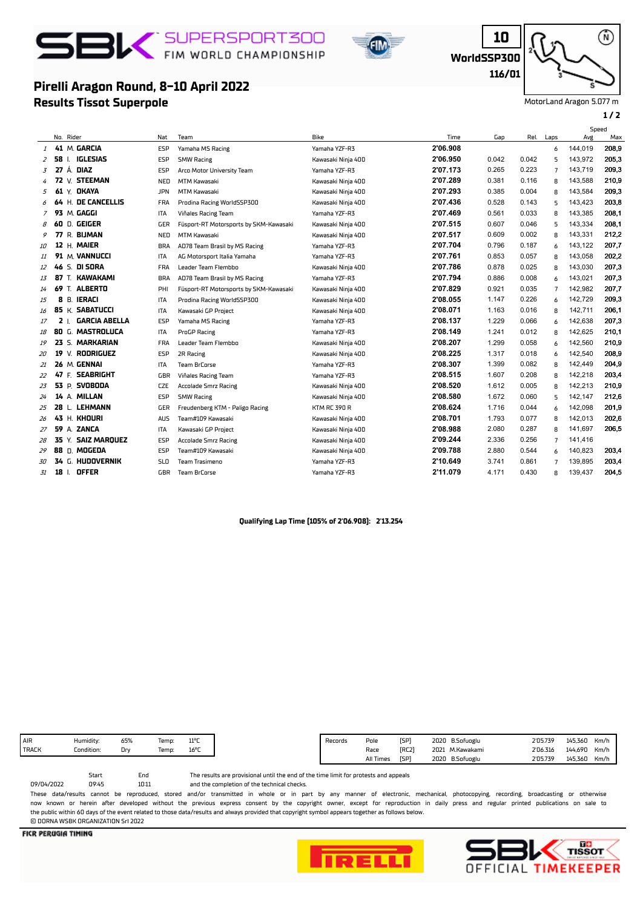# SBIV FIM WORLD CHAMPIONSHIP

**Results Tissot Superpole**

**Pirelli Aragon Round, 8-10 April 2022**



**WorldSSP300**

**10**

**116/01**

Ŵ)

MotorLand Aragon 5.077 m

#### **1 / 2**

#### No. Rider Nat Team Bike Gap Rel. Laps Avg Speed<br>Ave Time Max <sup>1</sup> **41** M. **GARCIA** ESP Yamaha MS Racing Yamaha YZF-R3 **2'06.908** 6 144,019 208,9 <sup>2</sup> **58** I. **IGLESIAS** ESP SMW Racing Kawasaki Ninja 400 **2'06.950** 0.042 0.042 5 143,972 205,3 <sup>3</sup> **27** Á. **DIAZ** ESP Arco Motor University Team Yamaha YZF-R3 **2'07.173** 0.265 0.223 7 143,719 209,3 <sup>4</sup> **72** V. **STEEMAN** NED MTM Kawasaki Kawasaki Ninja 400 **2'07.289** 0.381 0.116 8 143,588 210,9 <sup>5</sup> **61** Y. **OKAYA** JPN MTM Kawasaki Kawasaki Ninja 400 **2'07.293** 0.385 0.004 8 143,584 209,3 <sup>6</sup> **64** H. **DE CANCELLIS** FRA Prodina Racing WorldSSP300 Kawasaki Ninja 400 **2'07.436** 0.528 0.143 5 143,423 203,8 <sup>7</sup> **93** M. **GAGGI** ITA Viñales Racing Team Yamaha YZF-R3 **2'07.469** 0.561 0.033 8 143,385 208,1 <sup>8</sup> **60** D. **GEIGER** GER Füsport-RT Motorsports by SKM-Kawasaki Kawasaki Ninja 400 **2'07.515** 0.607 0.046 5 143,334 208,1 <sup>9</sup> **77** R. **BIJMAN** NED MTM Kawasaki Kawasaki Ninja 400 **2'07.517** 0.609 0.002 8 143,331 212,2 <sup>10</sup> **12** H. **MAIER** BRA AD78 Team Brasil by MS Racing Yamaha YZF-R3 **2'07.704** 0.796 0.187 6 143,122 207,7 <sup>11</sup> **91** M. **VANNUCCI** ITA AG Motorsport Italia Yamaha Yamaha YZF-R3 **2'07.761** 0.853 0.057 8 143,058 202,2 <sup>12</sup> **46** S. **DI SORA** FRA Leader Team Flembbo Kawasaki Ninja 400 **2'07.786** 0.878 0.025 8 143,030 207,3 <sup>13</sup> **87** T. **KAWAKAMI** BRA AD78 Team Brasil by MS Racing Yamaha YZF-R3 **2'07.794** 0.886 0.008 6 143,021 207,3 <sup>14</sup> **69** T. **ALBERTO** PHI Füsport-RT Motorsports by SKM-Kawasaki Kawasaki Ninja 400 **2'07.829** 0.921 0.035 7 142,982 207,7 <sup>15</sup> **8** B. **IERACI** ITA Prodina Racing WorldSSP300 Kawasaki Ninja 400 **2'08.055** 1.147 0.226 6 142,729 209,3 <sup>16</sup> **85** K. **SABATUCCI** ITA Kawasaki GP Project Kawasaki Ninja 400 **2'08.071** 1.163 0.016 8 142,711 206,1 <sup>17</sup> **2** I. **GARCIA ABELLA** ESP Yamaha MS Racing Yamaha YZF-R3 **2'08.137** 1.229 0.066 6 142,638 207,3 <sup>18</sup> **80** G. **MASTROLUCA** ITA ProGP Racing Yamaha YZF-R3 **2'08.149** 1.241 0.012 8 142,625 210,1 <sup>19</sup> **23** S. **MARKARIAN** FRA Leader Team Flembbo Kawasaki Ninja 400 **2'08.207** 1.299 0.058 6 142,560 210,9 <sup>20</sup> **19** V. **RODRIGUEZ** ESP 2R Racing Kawasaki Ninja 400 **2'08.225** 1.317 0.018 6 142,540 208,9 <sup>21</sup> **26** M. **GENNAI** ITA Team BrCorse Yamaha YZF-R3 **2'08.307** 1.399 0.082 8 142,449 204,9 <sup>22</sup> **47** F. **SEABRIGHT** GBR Viñales Racing Team Yamaha YZF-R3 **2'08.515** 1.607 0.208 8 142,218 203,4 <sup>23</sup> **53** P. **SVOBODA** CZE Accolade Smrz Racing Kawasaki Ninja 400 **2'08.520** 1.612 0.005 8 142,213 210,9 <sup>24</sup> **14** A. **MILLAN** ESP SMW Racing Kawasaki Ninja 400 **2'08.580** 1.672 0.060 5 142,147 212,6 <sup>25</sup> **28** L. **LEHMANN** GER Freudenberg KTM - Paligo Racing KTM RC 390 R **2'08.624** 1.716 0.044 6 142,098 201,9 <sup>26</sup> **43** H. **KHOURI** AUS Team#109 Kawasaki Kawasaki Ninja 400 **2'08.701** 1.793 0.077 8 142,013 202,6 <sup>27</sup> **59** A. **ZANCA** ITA Kawasaki GP Project Kawasaki Ninja 400 **2'08.988** 2.080 0.287 8 141,697 206,5 <sup>28</sup> **35** Y. **SAIZ MARQUEZ** ESP Accolade Smrz Racing Kawasaki Ninja 400 **2'09.244** 2.336 0.256 7 141,416 <sup>29</sup> **88** D. **MOGEDA** ESP Team#109 Kawasaki Kawasaki Ninja 400 **2'09.788** 2.880 0.544 6 140,823 203,4 <sup>30</sup> **34** G. **HUDOVERNIK** SLO Team Trasimeno Yamaha YZF-R3 **2'10.649** 3.741 0.861 7 139,895 203,4 <sup>31</sup> **18** I. **OFFER** GBR Team BrCorse Yamaha YZF-R3 **2'11.079** 4.171 0.430 8 139,437 204,5

## **Qualifying Lap Time (105% of 2'06.908): 2'13.254**

| AIR          | Humidity:  | 65% | Temp: | $11^{\circ}$ C |
|--------------|------------|-----|-------|----------------|
| <b>TRACK</b> | Condition: | D٢  | Temp: | 16°C           |
|              |            |     |       |                |

and the completion of the technical checks. The results are provisional until the end of the time limit for protests and appeals

These data/results cannot be reproduced, stored and/or transmitted in whole or in part by any manner of electronic, mechanical, photocopying, recording, broadcasting or otherwise now known or herein after developed without the previous express consent by the copyright owner, except for reproduction in daily press and regular printed publications on sale to the public within 60 days of the event related to those data/results and always provided that copyright symbol appears together as follows below. © DORNA WSBK ORGANIZATION Srl 2022

10:11

Start End



09/04/2022